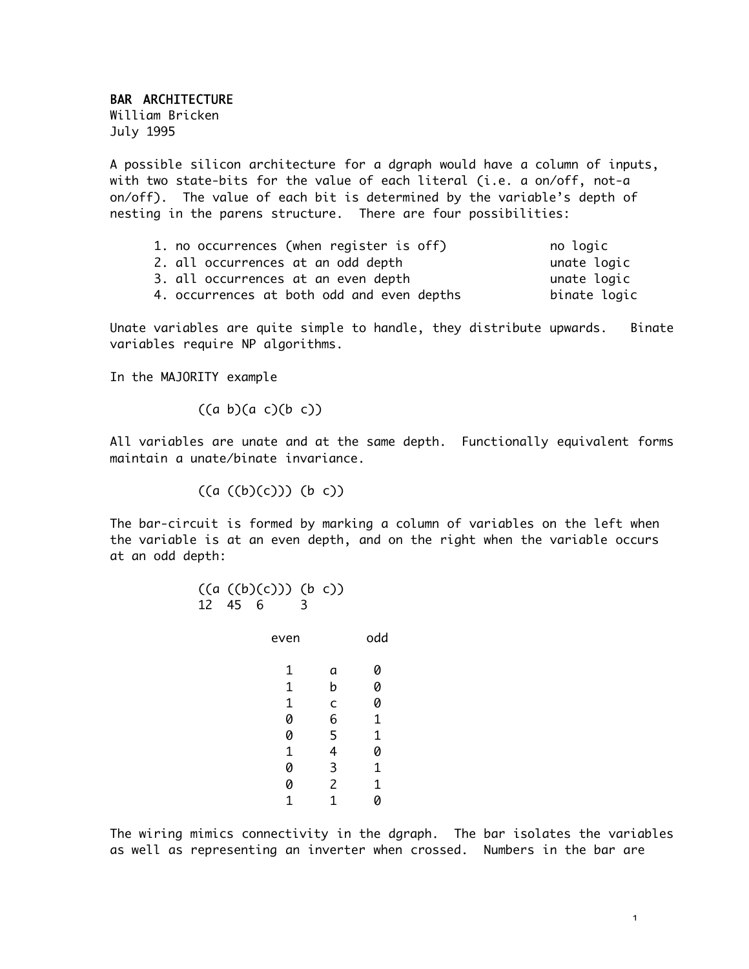## BAR ARCHITECTURE

William Bricken July 1995

A possible silicon architecture for a dgraph would have a column of inputs, with two state-bits for the value of each literal (i.e. a on/off, not-a on/off). The value of each bit is determined by the variable's depth of nesting in the parens structure. There are four possibilities:

| 1. no occurrences (when register is off)   | no logic     |
|--------------------------------------------|--------------|
| 2. all occurrences at an odd depth         | unate logic  |
| 3. all occurrences at an even depth        | unate logic  |
| 4. occurrences at both odd and even depths | binate logic |

Unate variables are quite simple to handle, they distribute upwards. Binate variables require NP algorithms.

In the MAJORITY example

 $((a \ b)(a \ c)(b \ c))$ 

All variables are unate and at the same depth. Functionally equivalent forms maintain a unate/binate invariance.

 $((a ((b)(c))) (b c))$ 

The bar-circuit is formed by marking a column of variables on the left when the variable is at an even depth, and on the right when the variable occurs at an odd depth:

| 12   | ((a ((b)(c))) (b c))<br>45<br>6 |   | 3 |                |     |
|------|---------------------------------|---|---|----------------|-----|
| even |                                 |   |   |                | odd |
|      |                                 | 1 |   | а              |     |
|      |                                 | 1 |   | b              |     |
|      |                                 | 1 |   | C              | 0   |
|      |                                 | 0 |   | 6              | 1   |
|      |                                 | 0 |   | 5              | 1   |
|      |                                 | 1 |   | 4              | Ø   |
|      |                                 | Ø |   | 3              | 1   |
|      |                                 | Ø |   | $\overline{2}$ | 1   |
|      |                                 |   |   |                |     |

The wiring mimics connectivity in the dgraph. The bar isolates the variables as well as representing an inverter when crossed. Numbers in the bar are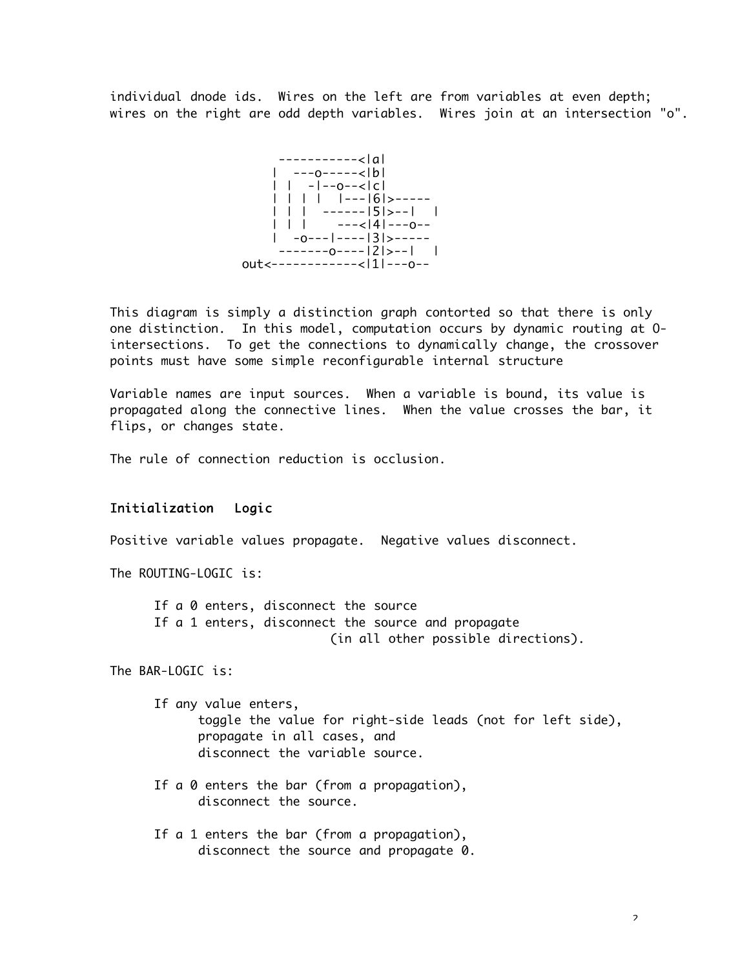individual dnode ids. Wires on the left are from variables at even depth; wires on the right are odd depth variables. Wires join at an intersection "o".



This diagram is simply a distinction graph contorted so that there is only one distinction. In this model, computation occurs by dynamic routing at Ointersections. To get the connections to dynamically change, the crossover points must have some simple reconfigurable internal structure

Variable names are input sources. When a variable is bound, its value is propagated along the connective lines. When the value crosses the bar, it flips, or changes state.

The rule of connection reduction is occlusion.

## Initialization Logic

Positive variable values propagate. Negative values disconnect.

The ROUTING-LOGIC is:

If a 0 enters, disconnect the source If a 1 enters, disconnect the source and propagate (in all other possible directions).

The BAR-LOGIC is:

If any value enters, toggle the value for right-side leads (not for left side), propagate in all cases, and disconnect the variable source.

- If a 0 enters the bar (from a propagation), disconnect the source.
- If a 1 enters the bar (from a propagation), disconnect the source and propagate 0.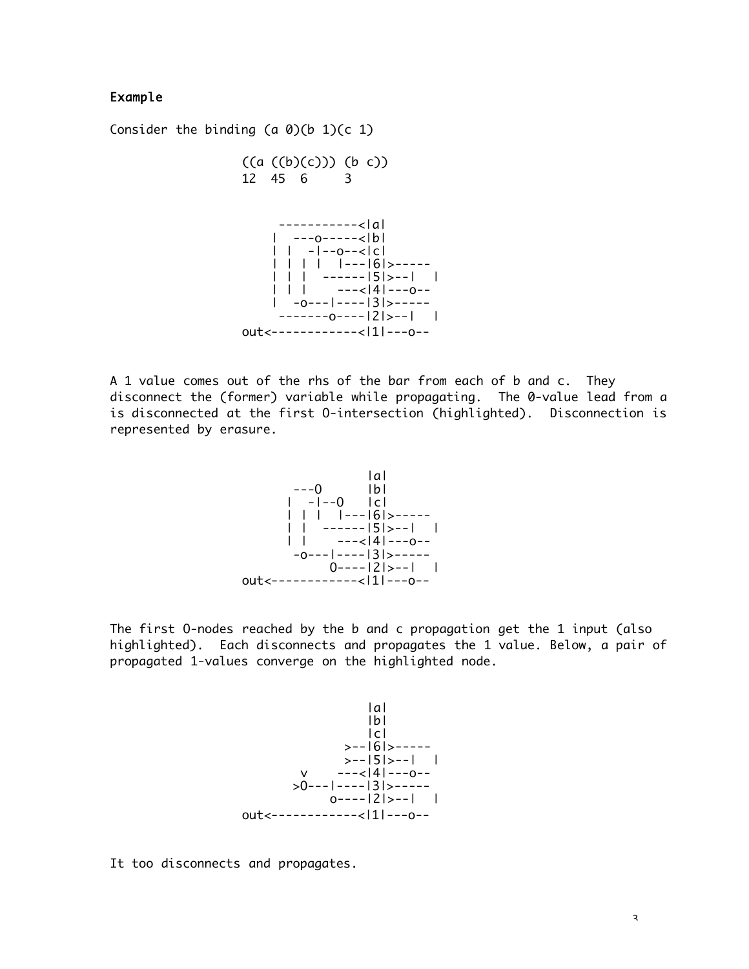## Example

Consider the binding  $(a 0)(b 1)(c 1)$ 



A 1 value comes out of the rhs of the bar from each of b and c. They disconnect the (former) variable while propagating. The 0-value lead from a is disconnected at the first O-intersection (highlighted). Disconnection is represented by erasure.



The first O-nodes reached by the b and c propagation get the 1 input (also highlighted). Each disconnects and propagates the 1 value. Below, a pair of propagated 1-values converge on the highlighted node.



It too disconnects and propagates.